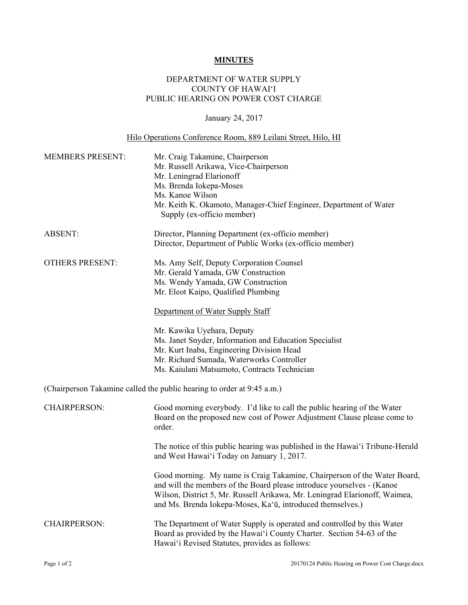## **MINUTES**

## DEPARTMENT OF WATER SUPPLY COUNTY OF HAWAI'I PUBLIC HEARING ON POWER COST CHARGE

## January 24, 2017

## Hilo Operations Conference Room, 889 Leilani Street, Hilo, HI

| <b>MEMBERS PRESENT:</b>                                                | Mr. Craig Takamine, Chairperson<br>Mr. Russell Arikawa, Vice-Chairperson<br>Mr. Leningrad Elarionoff<br>Ms. Brenda Iokepa-Moses<br>Ms. Kanoe Wilson<br>Mr. Keith K. Okamoto, Manager-Chief Engineer, Department of Water<br>Supply (ex-officio member)                                         |
|------------------------------------------------------------------------|------------------------------------------------------------------------------------------------------------------------------------------------------------------------------------------------------------------------------------------------------------------------------------------------|
| <b>ABSENT:</b>                                                         | Director, Planning Department (ex-officio member)<br>Director, Department of Public Works (ex-officio member)                                                                                                                                                                                  |
| <b>OTHERS PRESENT:</b>                                                 | Ms. Amy Self, Deputy Corporation Counsel<br>Mr. Gerald Yamada, GW Construction<br>Ms. Wendy Yamada, GW Construction<br>Mr. Eleot Kaipo, Qualified Plumbing<br>Department of Water Supply Staff                                                                                                 |
|                                                                        | Mr. Kawika Uyehara, Deputy<br>Ms. Janet Snyder, Information and Education Specialist<br>Mr. Kurt Inaba, Engineering Division Head<br>Mr. Richard Sumada, Waterworks Controller<br>Ms. Kaiulani Matsumoto, Contracts Technician                                                                 |
| (Chairperson Takamine called the public hearing to order at 9:45 a.m.) |                                                                                                                                                                                                                                                                                                |
| <b>CHAIRPERSON:</b>                                                    | Good morning everybody. I'd like to call the public hearing of the Water<br>Board on the proposed new cost of Power Adjustment Clause please come to<br>order.                                                                                                                                 |
|                                                                        | The notice of this public hearing was published in the Hawai'i Tribune-Herald<br>and West Hawai'i Today on January 1, 2017.                                                                                                                                                                    |
|                                                                        | Good morning. My name is Craig Takamine, Chairperson of the Water Board,<br>and will the members of the Board please introduce yourselves - (Kanoe<br>Wilson, District 5, Mr. Russell Arikawa, Mr. Leningrad Elarionoff, Waimea,<br>and Ms. Brenda Iokepa-Moses, Ka'ū, introduced themselves.) |
| <b>CHAIRPERSON:</b>                                                    | The Department of Water Supply is operated and controlled by this Water<br>Board as provided by the Hawai'i County Charter. Section 54-63 of the<br>Hawai'i Revised Statutes, provides as follows:                                                                                             |